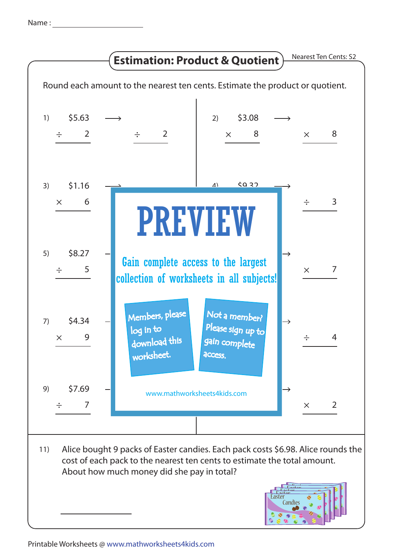